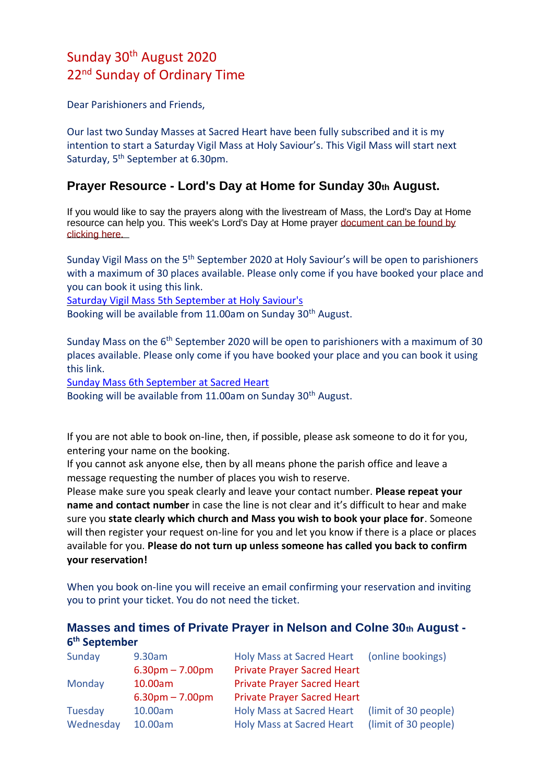## Sunday 30th August 2020 22<sup>nd</sup> Sunday of Ordinary Time

Dear Parishioners and Friends,

Our last two Sunday Masses at Sacred Heart have been fully subscribed and it is my intention to start a Saturday Vigil Mass at Holy Saviour's. This Vigil Mass will start next Saturday, 5th September at 6.30pm.

## **Prayer Resource - Lord's Day at Home for Sunday 30th August.**

If you would like to say the prayers along with the livestream of Mass, the Lord's Day at Home resource can help you. This week's Lord's Day at Home prayer [document can be found by](https://dioceseofsalford.us6.list-manage.com/track/click?u=76e219dab8653b775ba8aac4c&id=2308bafd17&e=5ce69633f0)  [clicking here.](https://dioceseofsalford.us6.list-manage.com/track/click?u=76e219dab8653b775ba8aac4c&id=2308bafd17&e=5ce69633f0) 

Sunday Vigil Mass on the 5<sup>th</sup> September 2020 at Holy Saviour's will be open to parishioners with a maximum of 30 places available. Please only come if you have booked your place and you can book it using this link.

[Saturday Vigil Mass 5th September at Holy Saviour's](https://www.eventbrite.co.uk/e/vigil-mass-at-holy-saviours-church-5th-september-2020-tickets-117828661699)

Booking will be available from 11.00am on Sunday 30<sup>th</sup> August.

Sunday Mass on the 6<sup>th</sup> September 2020 will be open to parishioners with a maximum of 30 places available. Please only come if you have booked your place and you can book it using this link.

[Sunday Mass 6th September at Sacred Heart](https://www.eventbrite.co.uk/e/sunday-mass-tickets-117808924665) Booking will be available from 11.00am on Sunday 30<sup>th</sup> August.

If you are not able to book on-line, then, if possible, please ask someone to do it for you, entering your name on the booking.

If you cannot ask anyone else, then by all means phone the parish office and leave a message requesting the number of places you wish to reserve.

Please make sure you speak clearly and leave your contact number. **Please repeat your name and contact number** in case the line is not clear and it's difficult to hear and make sure you **state clearly which church and Mass you wish to book your place for**. Someone will then register your request on-line for you and let you know if there is a place or places available for you. **Please do not turn up unless someone has called you back to confirm your reservation!**

When you book on-line you will receive an email confirming your reservation and inviting you to print your ticket. You do not need the ticket.

## **Masses and times of Private Prayer in Nelson and Colne 30th August - 6 th September**

| Sunday    | 9.30am            | Holy Mass at Sacred Heart (online bookings) |                      |
|-----------|-------------------|---------------------------------------------|----------------------|
|           | $6.30pm - 7.00pm$ | <b>Private Prayer Sacred Heart</b>          |                      |
| Monday    | 10.00am           | <b>Private Prayer Sacred Heart</b>          |                      |
|           | $6.30pm - 7.00pm$ | <b>Private Prayer Sacred Heart</b>          |                      |
| Tuesday   | 10.00am           | <b>Holy Mass at Sacred Heart</b>            | (limit of 30 people) |
| Wednesday | 10.00am           | <b>Holy Mass at Sacred Heart</b>            | (limit of 30 people) |